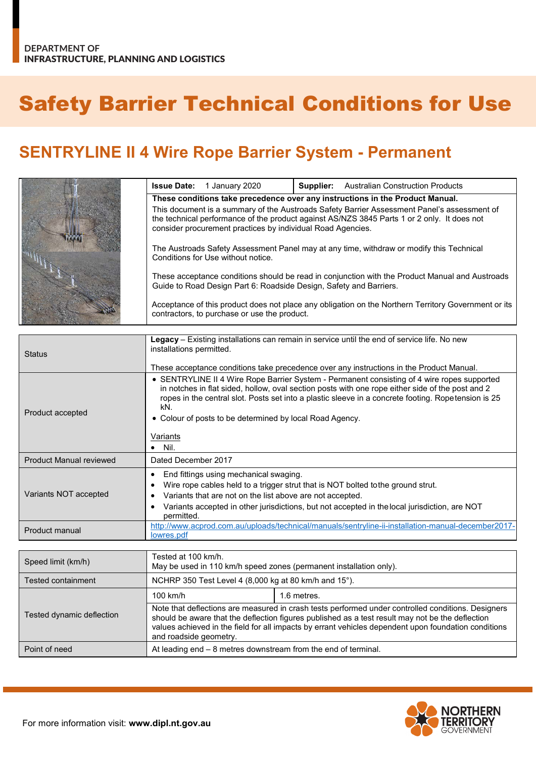## Safety Barrier Technical Conditions for Use

## **SENTRYLINE II 4 Wire Rope Barrier System - Permanent**

|  | <b>Issue Date:</b> 1 January 2020                                  | Supplier: | <b>Australian Construction Products</b>                                                                                                                                                    |
|--|--------------------------------------------------------------------|-----------|--------------------------------------------------------------------------------------------------------------------------------------------------------------------------------------------|
|  |                                                                    |           | These conditions take precedence over any instructions in the Product Manual.                                                                                                              |
|  | consider procurement practices by individual Road Agencies.        |           | This document is a summary of the Austroads Safety Barrier Assessment Panel's assessment of<br>the technical performance of the product against AS/NZS 3845 Parts 1 or 2 only. It does not |
|  | Conditions for Use without notice.                                 |           | The Austroads Safety Assessment Panel may at any time, withdraw or modify this Technical                                                                                                   |
|  | Guide to Road Design Part 6: Roadside Design, Safety and Barriers. |           | These acceptance conditions should be read in conjunction with the Product Manual and Austroads                                                                                            |
|  | contractors, to purchase or use the product.                       |           | Acceptance of this product does not place any obligation on the Northern Territory Government or its                                                                                       |

| <b>Status</b>                  | Legacy – Existing installations can remain in service until the end of service life. No new<br>installations permitted.<br>These acceptance conditions take precedence over any instructions in the Product Manual.                                                                                                                                                                         |
|--------------------------------|---------------------------------------------------------------------------------------------------------------------------------------------------------------------------------------------------------------------------------------------------------------------------------------------------------------------------------------------------------------------------------------------|
| Product accepted               | • SENTRYLINE II 4 Wire Rope Barrier System - Permanent consisting of 4 wire ropes supported<br>in notches in flat sided, hollow, oval section posts with one rope either side of the post and 2<br>ropes in the central slot. Posts set into a plastic sleeve in a concrete footing. Ropetension is 25<br>kN.<br>Colour of posts to be determined by local Road Agency.<br>Variants<br>Nil. |
| <b>Product Manual reviewed</b> | Dated December 2017                                                                                                                                                                                                                                                                                                                                                                         |
| Variants NOT accepted          | End fittings using mechanical swaging.<br>Wire rope cables held to a trigger strut that is NOT bolted to the ground strut.<br>Variants that are not on the list above are not accepted.<br>Variants accepted in other jurisdictions, but not accepted in the local jurisdiction, are NOT<br>permitted.                                                                                      |
| Product manual                 | http://www.acprod.com.au/uploads/technical/manuals/sentryline-ii-installation-manual-december2017-<br>lowres.pdf                                                                                                                                                                                                                                                                            |

| Speed limit (km/h)        | Tested at 100 km/h.<br>May be used in 110 km/h speed zones (permanent installation only).                                                                                                                                                                                                                                                |             |
|---------------------------|------------------------------------------------------------------------------------------------------------------------------------------------------------------------------------------------------------------------------------------------------------------------------------------------------------------------------------------|-------------|
| <b>Tested containment</b> | NCHRP 350 Test Level 4 (8,000 kg at 80 km/h and 15°).                                                                                                                                                                                                                                                                                    |             |
| Tested dynamic deflection | 100 km/h                                                                                                                                                                                                                                                                                                                                 | 1.6 metres. |
|                           | Note that deflections are measured in crash tests performed under controlled conditions. Designers<br>should be aware that the deflection figures published as a test result may not be the deflection<br>values achieved in the field for all impacts by errant vehicles dependent upon foundation conditions<br>and roadside geometry. |             |
| Point of need             | At leading $end - 8$ metres downstream from the end of terminal.                                                                                                                                                                                                                                                                         |             |

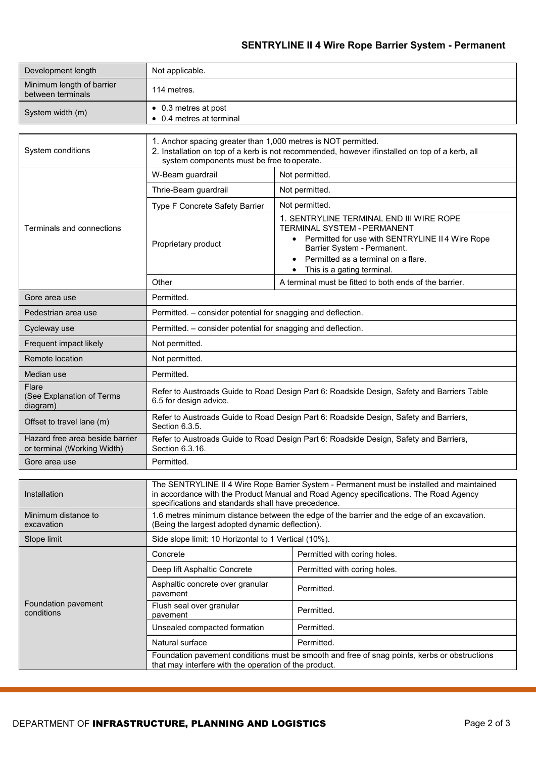## **SENTRYLINE II 4 Wire Rope Barrier System - Permanent**

| Development length                             | Not applicable.                                          |
|------------------------------------------------|----------------------------------------------------------|
| Minimum length of barrier<br>between terminals | 114 metres.                                              |
| System width (m)                               | $\bullet$ 0.3 metres at post<br>• 0.4 metres at terminal |

| System conditions                                              | 1. Anchor spacing greater than 1,000 metres is NOT permitted.<br>2. Installation on top of a kerb is not recommended, however ifinstalled on top of a kerb, all<br>system components must be free to operate. |                                                                                                                                                                                                                                                         |  |
|----------------------------------------------------------------|---------------------------------------------------------------------------------------------------------------------------------------------------------------------------------------------------------------|---------------------------------------------------------------------------------------------------------------------------------------------------------------------------------------------------------------------------------------------------------|--|
| Terminals and connections                                      | W-Beam guardrail                                                                                                                                                                                              | Not permitted.                                                                                                                                                                                                                                          |  |
|                                                                | Thrie-Beam guardrail                                                                                                                                                                                          | Not permitted.                                                                                                                                                                                                                                          |  |
|                                                                | Type F Concrete Safety Barrier                                                                                                                                                                                | Not permitted.                                                                                                                                                                                                                                          |  |
|                                                                | Proprietary product                                                                                                                                                                                           | 1. SENTRYLINE TERMINAL END III WIRE ROPE<br><b>TERMINAL SYSTEM - PERMANENT</b><br>Permitted for use with SENTRYLINE II4 Wire Rope<br>$\bullet$<br>Barrier System - Permanent.<br>Permitted as a terminal on a flare.<br>This is a gating terminal.<br>٠ |  |
|                                                                | Other                                                                                                                                                                                                         | A terminal must be fitted to both ends of the barrier.                                                                                                                                                                                                  |  |
| Gore area use                                                  | Permitted.                                                                                                                                                                                                    |                                                                                                                                                                                                                                                         |  |
| Pedestrian area use                                            | Permitted. - consider potential for snagging and deflection.                                                                                                                                                  |                                                                                                                                                                                                                                                         |  |
| Cycleway use                                                   | Permitted. – consider potential for snagging and deflection.                                                                                                                                                  |                                                                                                                                                                                                                                                         |  |
| Frequent impact likely                                         | Not permitted.                                                                                                                                                                                                |                                                                                                                                                                                                                                                         |  |
| Remote location                                                | Not permitted.                                                                                                                                                                                                |                                                                                                                                                                                                                                                         |  |
| Median use                                                     | Permitted.                                                                                                                                                                                                    |                                                                                                                                                                                                                                                         |  |
| Flare<br>(See Explanation of Terms<br>diagram)                 | Refer to Austroads Guide to Road Design Part 6: Roadside Design, Safety and Barriers Table<br>6.5 for design advice.                                                                                          |                                                                                                                                                                                                                                                         |  |
| Offset to travel lane (m)                                      | Refer to Austroads Guide to Road Design Part 6: Roadside Design, Safety and Barriers,<br>Section 6.3.5.                                                                                                       |                                                                                                                                                                                                                                                         |  |
| Hazard free area beside barrier<br>or terminal (Working Width) | Refer to Austroads Guide to Road Design Part 6: Roadside Design, Safety and Barriers,<br>Section 6.3.16.                                                                                                      |                                                                                                                                                                                                                                                         |  |
| Gore area use                                                  | Permitted.                                                                                                                                                                                                    |                                                                                                                                                                                                                                                         |  |

| Installation                      | The SENTRYLINE II 4 Wire Rope Barrier System - Permanent must be installed and maintained<br>in accordance with the Product Manual and Road Agency specifications. The Road Agency<br>specifications and standards shall have precedence. |                              |  |
|-----------------------------------|-------------------------------------------------------------------------------------------------------------------------------------------------------------------------------------------------------------------------------------------|------------------------------|--|
| Minimum distance to<br>excavation | 1.6 metres minimum distance between the edge of the barrier and the edge of an excavation.<br>(Being the largest adopted dynamic deflection).                                                                                             |                              |  |
| Slope limit                       | Side slope limit: 10 Horizontal to 1 Vertical (10%).                                                                                                                                                                                      |                              |  |
| Foundation pavement<br>conditions | Concrete                                                                                                                                                                                                                                  | Permitted with coring holes. |  |
|                                   | Deep lift Asphaltic Concrete                                                                                                                                                                                                              | Permitted with coring holes. |  |
|                                   | Asphaltic concrete over granular<br>pavement                                                                                                                                                                                              | Permitted.                   |  |
|                                   | Flush seal over granular<br>pavement                                                                                                                                                                                                      | Permitted.                   |  |
|                                   | Unsealed compacted formation                                                                                                                                                                                                              | Permitted.                   |  |
|                                   | Natural surface                                                                                                                                                                                                                           | Permitted.                   |  |
|                                   | Foundation pavement conditions must be smooth and free of snag points, kerbs or obstructions<br>that may interfere with the operation of the product.                                                                                     |                              |  |